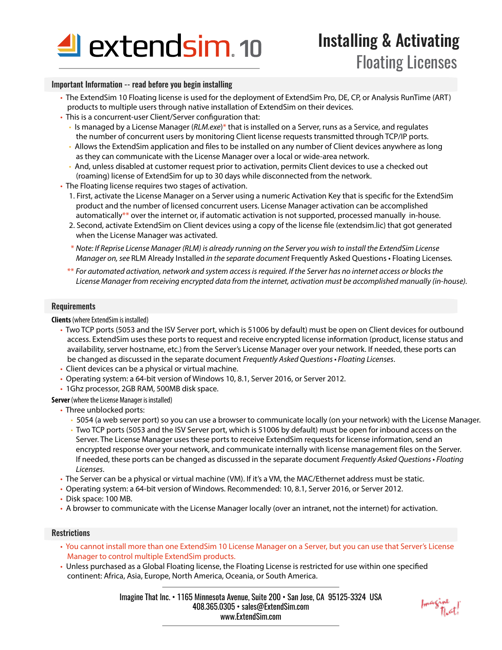

## Important Information -- read before you begin installing

- The ExtendSim 10 Floating license is used for the deployment of ExtendSim Pro, DE, CP, or Analysis RunTime (ART) products to multiple users through native installation of ExtendSim on their devices.
- This is a concurrent-user Client/Server configuration that:
	- Is managed by a License Manager (*RLM.exe*)\* that is installed on a Server, runs as a Service, and regulates the number of concurrent users by monitoring Client license requests transmitted through TCP/IP ports.
	- Allows the ExtendSim application and files to be installed on any number of Client devices anywhere as long as they can communicate with the License Manager over a local or wide-area network.
	- And, unless disabled at customer request prior to activation, permits Client devices to use a checked out (roaming) license of ExtendSim for up to 30 days while disconnected from the network.
- The Floating license requires two stages of activation.
	- 1. First, activate the License Manager on a Server using a numeric Activation Key that is specific for the ExtendSim product and the number of licensed concurrent users. License Manager activation can be accomplished automatically\*\* over the internet or, if automatic activation is not supported, processed manually in-house.
	- 2. Second, activate ExtendSim on Client devices using a copy of the license file (extendsim.lic) that got generated when the License Manager was activated.
	- \* *Note: If Reprise License Manager (RLM) is already running on the Server you wish to install the ExtendSim License Manager on, see* RLM Already Installed *in the separate document* Frequently Asked Questions • Floating Licenses*.*
	- \*\* *For automated activation, network and system access is required. If the Server has no internet access or blocks the License Manager from receiving encrypted data from the internet, activation must be accomplished manually (in-house).*

#### **Requirements**

**Clients** (where ExtendSim is installed)

- Two TCP ports (5053 and the ISV Server port, which is 51006 by default) must be open on Client devices for outbound access. ExtendSim uses these ports to request and receive encrypted license information (product, license status and availability, server hostname, etc.) from the Server's License Manager over your network. If needed, these ports can be changed as discussed in the separate document *Frequently Asked Questions • Floating Licenses*.
- Client devices can be a physical or virtual machine.
- Operating system: a 64-bit version of Windows 10, 8.1, Server 2016, or Server 2012.
- 1Ghz processor, 2GB RAM, 500MB disk space.

**Server** (where the License Manager is installed)

- Three unblocked ports:
	- 5054 (a web server port) so you can use a browser to communicate locally (on your network) with the License Manager.
	- Two TCP ports (5053 and the ISV Server port, which is 51006 by default) must be open for inbound access on the Server. The License Manager uses these ports to receive ExtendSim requests for license information, send an encrypted response over your network, and communicate internally with license management files on the Server. If needed, these ports can be changed as discussed in the separate document *Frequently Asked Questions • Floating Licenses*.
- The Server can be a physical or virtual machine (VM). If it's a VM, the MAC/Ethernet address must be static.
- Operating system: a 64-bit version of Windows. Recommended: 10, 8.1, Server 2016, or Server 2012.
- Disk space: 100 MB.
- A browser to communicate with the License Manager locally (over an intranet, not the internet) for activation.

#### **Restrictions**

- You cannot install more than one ExtendSim 10 License Manager on a Server, but you can use that Server's License Manager to control multiple ExtendSim products.
- Unless purchased as a Global Floating license, the Floating License is restricted for use within one specified continent: Africa, Asia, Europe, North America, Oceania, or South America.

Imagine That Inc. • 1165 Minnesota Avenue, Suite 200 • San Jose, CA 95125-3324 USA 408.365.0305 • sales@ExtendSim.com www.ExtendSim.com

foragine<br>That!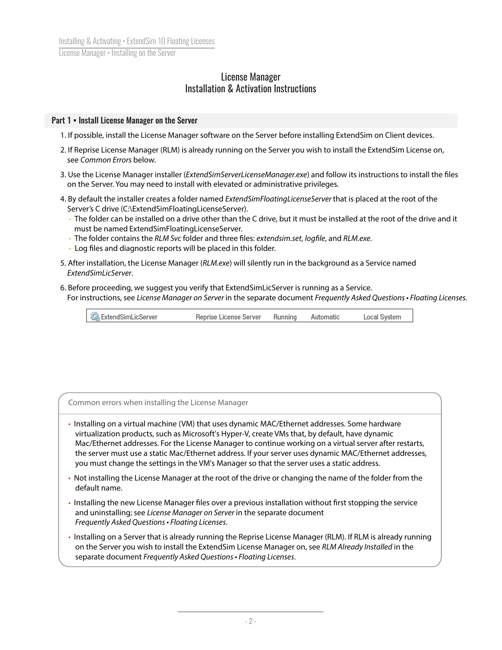# License Manager Installation & Activation Instructions

## Part 1 • Install License Manager on the Server

- 1. If possible, install the License Manager software on the Server before installing ExtendSim on Client devices.
- 2. If Reprise License Manager (RLM) is already running on the Server you wish to install the ExtendSim License on, see *Common Errors* below.
- 3. Use the License Manager installer (*ExtendSimServerLicenseManager.exe*) and follow its instructions to install the files on the Server. You may need to install with elevated or administrative privileges.
- 4. By default the installer creates a folder named *ExtendSimFloatingLicenseServer* that is placed at the root of the Server's C drive (C:\ExtendSimFloatingLicenseServer).
	- The folder can be installed on a drive other than the C drive, but it must be installed at the root of the drive and it must be named ExtendSimFloatingLicenseServer.
	- The folder contains the *RLM Svc* folder and three files: *extendsim.set*, *logfile*, and *RLM.exe*.
	- Log files and diagnostic reports will be placed in this folder.
- 5. After installation, the License Manager (*RLM.exe*) will silently run in the background as a Service named *ExtendSimLicServer*.
- 6. Before proceeding, we suggest you verify that ExtendSimLicServer is running as a Service. For instructions, see *License Manager on Server* in the separate document *Frequently Asked Questions • Floating Licenses.*

| ExtendSimLicServer<br>Reprise License Server | Running | Automatic | Local System |
|----------------------------------------------|---------|-----------|--------------|
|----------------------------------------------|---------|-----------|--------------|

| Common errors when installing the License Manager                                                                                                                                                                                                                                                                                                                                                                                                                                                                    |  |
|----------------------------------------------------------------------------------------------------------------------------------------------------------------------------------------------------------------------------------------------------------------------------------------------------------------------------------------------------------------------------------------------------------------------------------------------------------------------------------------------------------------------|--|
| • Installing on a virtual machine (VM) that uses dynamic MAC/Ethernet addresses. Some hardware<br>virtualization products, such as Microsoft's Hyper-V, create VMs that, by default, have dynamic<br>Mac/Ethernet addresses. For the License Manager to continue working on a virtual server after restarts,<br>the server must use a static Mac/Ethernet address. If your server uses dynamic MAC/Ethernet addresses,<br>you must change the settings in the VM's Manager so that the server uses a static address. |  |

- Not installing the License Manager at the root of the drive or changing the name of the folder from the default name.
- Installing the new License Manager files over a previous installation without first stopping the service and uninstalling; see *License Manager on Server* in the separate document *Frequently Asked Questions • Floating Licenses*.
- Installing on a Server that is already running the Reprise License Manager (RLM). If RLM is already running on the Server you wish to install the ExtendSim License Manager on, see *RLM Already Installed* in the separate document *Frequently Asked Questions • Floating Licenses*.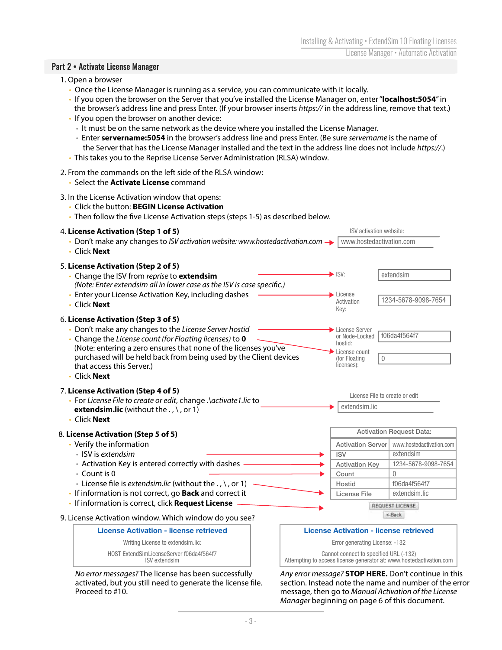## Part 2 • Activate License Manager

- 1. Open a browser
	- Once the License Manager is running as a service, you can communicate with it locally.
	- If you open the browser on the Server that you've installed the License Manager on, enter "**localhost:5054**" in
	- the browser's address line and press Enter. (If your browser inserts *https://* in the address line, remove that text.)
	- If you open the browser on another device:
	- It must be on the same network as the device where you installed the License Manager.
	- Enter **servername:5054** in the browser's address line and press Enter. (Be sure *servername* is the name of the Server that has the License Manager installed and the text in the address line does not include *https://*.)
	- This takes you to the Reprise License Server Administration (RLSA) window.
- 2. From the commands on the left side of the RLSA window:
	- Select the **Activate License** command

## 3. In the License Activation window that opens:

- Click the button: **BEGIN License Activation**
- Then follow the five License Activation steps (steps 1-5) as described below.

#### ISV activation website: 4. **License Activation (Step 1 of 5)** • Don't make any changes to *ISV activation website: www.hostedactivation.com*  $\rightarrow$  www.hostedactivation.com • Click **Next** 5. **License Activation (Step 2 of 5)** ISV: extendsim • Change the ISV from *reprise* to **extendsim**  *(Note: Enter extendsim all in lower case as the ISV is case specific.)*  • Enter your License Activation Key, including dashes License 1234-5678-9098-7654 Activation • Click **Next** Key: 6. **License Activation (Step 3 of 5)** • Don't make any changes to the *License Server hostid* **License Server** f06da4f564f7 or Node-Locked • Change the *License count (for Floating licenses)* to **0** hostid: (Note: entering a zero ensures that none of the licenses you've License count purchased will be held back from being used by the Client devices (for Floating 0 that access this Server.) licenses): • Click **Next** 7. **License Activation (Step 4 of 5)** License File to create or edit • For *License File to create or edit*, change *.\activate1.lic* to extendsim.lic **extendsim.lic** (without the ., \, or 1) • Click **Next** Activation Request Data: 8. **License Activation (Step 5 of 5)** • Verify the information Activation Server www.hostedactivation.com • ISV is *extendsim* ISV extendsim • Activation Key is entered correctly with dashes Activation Key 1234-5678-9098-7654 • Count is 0 **Count** 0 • License file is *extendsim.lic* (without the ., \, or 1) Hostid f06da4f564f7 • If information is not correct, go **Back** and correct it License File extendsim.lic • If information is correct, click **Request License** REQUEST LICENSE  $<$ Back 9. License Activation window. Which window do you see? **License Activation - license retrieved License Activation - license retrieved**



*No error messages?* The license has been successfully activated, but you still need to generate the license file. Proceed to #10.



*Any error message?* **STOP HERE.** Don't continue in this section. Instead note the name and number of the error message, then go to *Manual Activation of the License Manager* beginning on page 6 of this document.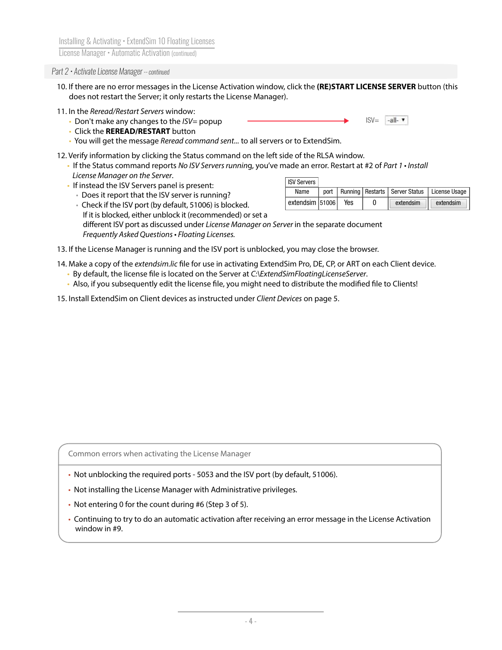## *Part 2 • Activate License Manager -- continued*

- 10. If there are no error messages in the License Activation window, click the **(RE)START LICENSE SERVER** button (this does not restart the Server; it only restarts the License Manager).
- 11. In the *Reread/Restart Servers* window:
	- Don't make any changes to the *ISV=* popup
	- Click the **REREAD/RESTART** button
	- You will get the message *Reread command sent...* to all servers or to ExtendSim.
- 12. Verify information by clicking the Status command on the left side of the RLSA window.
	- If the Status command reports *No ISV Servers runnin*g, you've made an error. Restart at #2 of *Part 1 Install License Manager on the Server*. ICV Corvers
	- If instead the ISV Servers panel is present:

| IOV JEIVEIS     |     |           |                                                           |
|-----------------|-----|-----------|-----------------------------------------------------------|
| Name            |     |           | port   Running   Restarts   Server Status   License Usage |
| extendsim 51006 | Yes | extendsim | $\parallel$ extendsim                                     |
|                 |     |           |                                                           |

 $ISV = -all - v$ 

- Does it report that the ISV server is running? • Check if the ISV port (by default, 51006) is blocked.
- If it is blocked, either unblock it (recommended) or set a different ISV port as discussed under *License Manager on Server* in the separate document *Frequently Asked Questions • Floating Licenses.*
- 13. If the License Manager is running and the ISV port is unblocked, you may close the browser.
- 14. Make a copy of the *extendsim.lic* file for use in activating ExtendSim Pro, DE, CP, or ART on each Client device.
	- By default, the license file is located on the Server at *C*:\ExtendSimFloatingLicenseServer.
	- Also, if you subsequently edit the license file, you might need to distribute the modified file to Clients!
- 15. Install ExtendSim on Client devices as instructed under *Client Devices* on page 5.

Common errors when activating the License Manager

- Not unblocking the required ports 5053 and the ISV port (by default, 51006).
- Not installing the License Manager with Administrative privileges.
- Not entering 0 for the count during #6 (Step 3 of 5).
- Continuing to try to do an automatic activation after receiving an error message in the License Activation window in #9.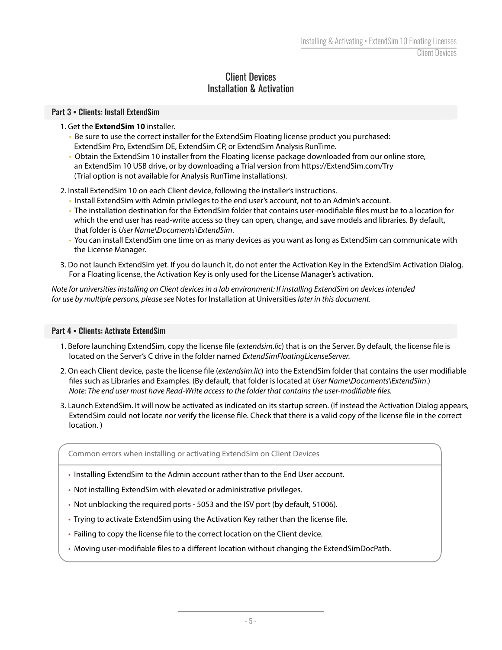# Client Devices Installation & Activation

# Part 3 • Clients: Install ExtendSim

# 1. Get the **ExtendSim 10** installer.

- Be sure to use the correct installer for the ExtendSim Floating license product you purchased: ExtendSim Pro, ExtendSim DE, ExtendSim CP, or ExtendSim Analysis RunTime.
- Obtain the ExtendSim 10 installer from the Floating license package downloaded from our online store, an ExtendSim 10 USB drive, or by downloading a Trial version from https://ExtendSim.com/Try (Trial option is not available for Analysis RunTime installations).

2. Install ExtendSim 10 on each Client device, following the installer's instructions.

- Install ExtendSim with Admin privileges to the end user's account, not to an Admin's account.
- The installation destination for the ExtendSim folder that contains user-modifiable files must be to a location for which the end user has read-write access so they can open, change, and save models and libraries. By default, that folder is *User Name\Documents\ExtendSim*.
- You can install ExtendSim one time on as many devices as you want as long as ExtendSim can communicate with the License Manager.
- 3. Do not launch ExtendSim yet. If you do launch it, do not enter the Activation Key in the ExtendSim Activation Dialog. For a Floating license, the Activation Key is only used for the License Manager's activation.

*Note for universities installing on Client devices in a lab environment: If installing ExtendSim on devices intended for use by multiple persons, please see* Notes for Installation at Universities *later in this document.*

## Part 4 • Clients: Activate ExtendSim

- 1. Before launching ExtendSim, copy the license file (*extendsim.lic*) that is on the Server. By default, the license file is located on the Server's C drive in the folder named *ExtendSimFloatingLicenseServer.*
- 2. On each Client device, paste the license file (*extendsim.lic*) into the ExtendSim folder that contains the user modifiable !les such as Libraries and Examples. (By default, that folder is located at *User Name\Documents\ExtendSim*.) *Note: The end user must have Read-Write access to the folder that contains the user-modifiable files.*
- 3. Launch ExtendSim. It will now be activated as indicated on its startup screen. (If instead the Activation Dialog appears, ExtendSim could not locate nor verify the license file. Check that there is a valid copy of the license file in the correct location. )

Common errors when installing or activating ExtendSim on Client Devices

- Installing ExtendSim to the Admin account rather than to the End User account.
- Not installing ExtendSim with elevated or administrative privileges.
- Not unblocking the required ports 5053 and the ISV port (by default, 51006).
- Trying to activate ExtendSim using the Activation Key rather than the license file.
- Failing to copy the license file to the correct location on the Client device.
- Moving user-modifiable files to a different location without changing the ExtendSimDocPath.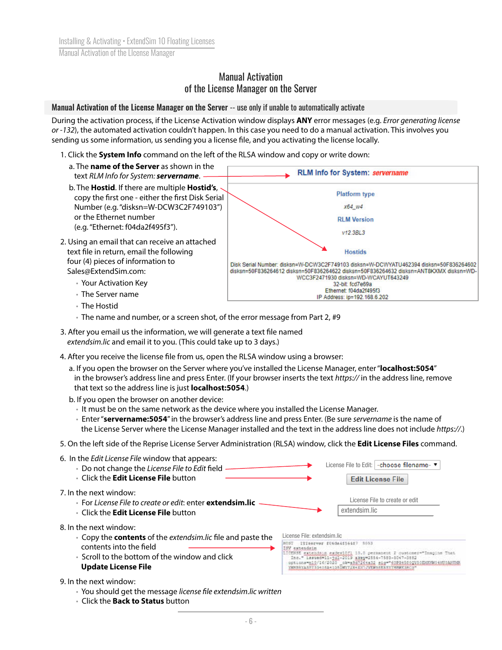# Manual Activation of the License Manager on the Server

## Manual Activation of the License Manager on the Server -- use only if unable to automatically activate

During the activation process, if the License Activation window displays **ANY** error messages (e.g. *Error generating license or -132*), the automated activation couldn't happen. In this case you need to do a manual activation. This involves you sending us some information, us sending you a license file, and you activating the license locally.

- 1. Click the **System Info** command on the left of the RLSA window and copy or write down:
- a. The **name of the Server** as shown in the RLM Info for System: servername text *RLM Info for System: servername*. b. The **Hostid**. If there are multiple **Hostid's**, **Platform type** copy the first one - either the first Disk Serial Number (e.g. "disksn=W-DCW3C2F749103") x64 w4 or the Ethernet number **RLM Version**  (e.g. "Ethernet: f04da2f495f3"). v12.3BL3 2. Using an email that can receive an attached text file in return, email the following **Hostids**  four (4) pieces of information to Disk Serial Number: disksn=W-DCW3C2F749103 disksn=W-DCWYATU462394 disksn=50F836264602 Sales@ExtendSim.com: disksn=50F836264612 disksn=50F836264622 disksn=50F836264632 disksn=ANT8KXMX disksn=WD-WCC3F2471930 disksn=WD-WCAYUT643249 • Your Activation Key 32-bit: fcd7e69a Ethernet: f04da2f495f3 • The Server name IP Address: ip=192.168.6.202
	- The Hostid
	- The name and number, or a screen shot, of the error message from Part 2, #9
- 3. After you email us the information, we will generate a text file named *extendsim.lic* and email it to you. (This could take up to 3 days.)
- 4. After you receive the license file from us, open the RLSA window using a browser:
	- a. If you open the browser on the Server where you've installed the License Manager, enter "**localhost:5054**" in the browser's address line and press Enter. (If your browser inserts the text *https://* in the address line, remove that text so the address line is just **localhost:5054**.)
	- b. If you open the browser on another device:
		- It must be on the same network as the device where you installed the License Manager.
		- Enter "**servername:5054**" in the browser's address line and press Enter. (Be sure *servername* is the name of the License Server where the License Manager installed and the text in the address line does not include *https://*.)
- 5. On the left side of the Reprise License Server Administration (RLSA) window, click the **Edit License Files** command.
- 6. In the *Edit License File* window that appears: License File to Edit: - choose filename- ▼ • Do not change the *License File to Edit* field • Click the **Edit License File** button **Edit License File**  7. In the next window: License File to create or edit • For *License File to create or edit*: enter **extendsim.lic** extendsim.lic • Click the **Edit License File** button 8. In the next window: License File: extendsim.lic • Copy the **contents** of the *extendsim.lic* !le and paste the HOST ITIBorvor f06da4f564f7 5053 contents into the field tendaim PERSONALE PRINTING (15.0 permanent 2 dustomer="Imagine That")<br>TOENSE extended: 1-101-2019 akey=1554-7583-7647-5852<br>options="191-1642020" ck-a3d7244a32 sig="40F045202150E0E0604bU0AHU0A<br>PRESSYASSY3940E44135DRTZ34XXTJVEWSEERS • Scroll to the bottom of the window and click **Update License File**

9. In the next window:

- You should get the message *license* !*le extendsim.lic written*
- Click the **Back to Status** button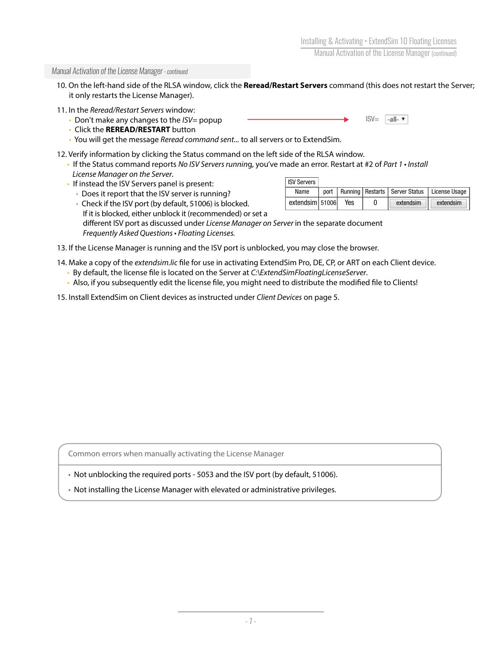#### *Manual Activation of the License Manager - continued*

- 10. On the left-hand side of the RLSA window, click the **Reread/Restart Servers** command (this does not restart the Server; it only restarts the License Manager).
- 11. In the *Reread/Restart Servers* window:
	- Don't make any changes to the *ISV=* popup
	- Click the **REREAD/RESTART** button
	- You will get the message *Reread command sent...* to all servers or to ExtendSim.
- 12. Verify information by clicking the Status command on the left side of the RLSA window.
	- If the Status command reports *No ISV Servers runnin*g, you've made an error. Restart at #2 of *Part 1 Install License Manager on the Server*.
	- If instead the ISV Servers panel is present:

• Does it report that the ISV server is running?

ISV Servers Name | port | Running | Restarts | Server Status | License Usage extendsim 51006 Yes 0 extendsim extendsim

 $ISV=$ 

 $-all.$ 

- Check if the ISV port (by default, 51006) is blocked. If it is blocked, either unblock it (recommended) or set a different ISV port as discussed under *License Manager on Server* in the separate document *Frequently Asked Questions • Floating Licenses.*
- 13. If the License Manager is running and the ISV port is unblocked, you may close the browser.
- 14. Make a copy of the *extendsim.lic* file for use in activating ExtendSim Pro, DE, CP, or ART on each Client device.
	- By default, the license file is located on the Server at *C:\ExtendSimFloatingLicenseServer*.
	- Also, if you subsequently edit the license file, you might need to distribute the modified file to Clients!
- 15. Install ExtendSim on Client devices as instructed under *Client Devices* on page 5.

Common errors when manually activating the License Manager

• Not unblocking the required ports - 5053 and the ISV port (by default, 51006).

• Not installing the License Manager with elevated or administrative privileges.